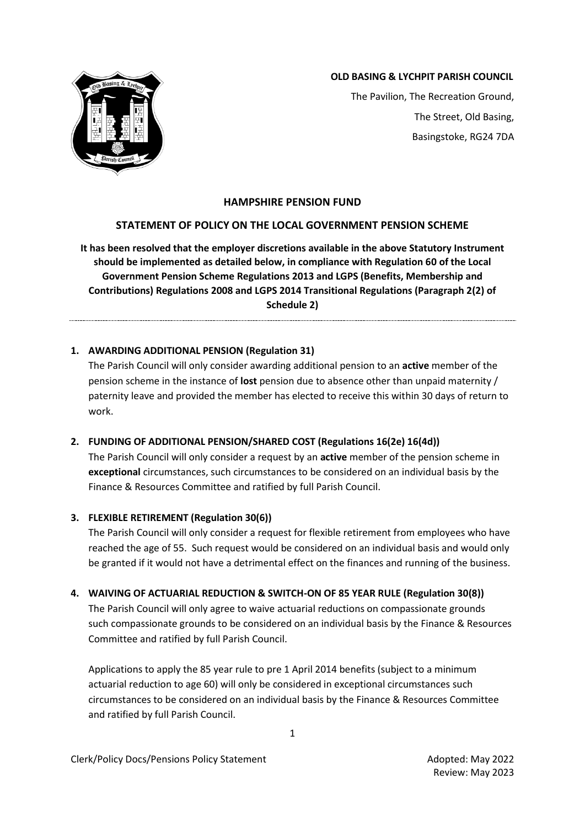

## **OLD BASING & LYCHPIT PARISH COUNCIL**

The Pavilion, The Recreation Ground, The Street, Old Basing, Basingstoke, RG24 7DA

## **HAMPSHIRE PENSION FUND**

## **STATEMENT OF POLICY ON THE LOCAL GOVERNMENT PENSION SCHEME**

**It has been resolved that the employer discretions available in the above Statutory Instrument should be implemented as detailed below, in compliance with Regulation 60 of the Local Government Pension Scheme Regulations 2013 and LGPS (Benefits, Membership and Contributions) Regulations 2008 and LGPS 2014 Transitional Regulations (Paragraph 2(2) of Schedule 2)**

**1. AWARDING ADDITIONAL PENSION (Regulation 31)**

The Parish Council will only consider awarding additional pension to an **active** member of the pension scheme in the instance of **lost** pension due to absence other than unpaid maternity / paternity leave and provided the member has elected to receive this within 30 days of return to work.

# **2. FUNDING OF ADDITIONAL PENSION/SHARED COST (Regulations 16(2e) 16(4d))**

The Parish Council will only consider a request by an **active** member of the pension scheme in **exceptional** circumstances, such circumstances to be considered on an individual basis by the Finance & Resources Committee and ratified by full Parish Council.

#### **3. FLEXIBLE RETIREMENT (Regulation 30(6))**

The Parish Council will only consider a request for flexible retirement from employees who have reached the age of 55. Such request would be considered on an individual basis and would only be granted if it would not have a detrimental effect on the finances and running of the business.

# **4. WAIVING OF ACTUARIAL REDUCTION & SWITCH-ON OF 85 YEAR RULE (Regulation 30(8))**

The Parish Council will only agree to waive actuarial reductions on compassionate grounds such compassionate grounds to be considered on an individual basis by the Finance & Resources Committee and ratified by full Parish Council.

Applications to apply the 85 year rule to pre 1 April 2014 benefits (subject to a minimum actuarial reduction to age 60) will only be considered in exceptional circumstances such circumstances to be considered on an individual basis by the Finance & Resources Committee and ratified by full Parish Council.